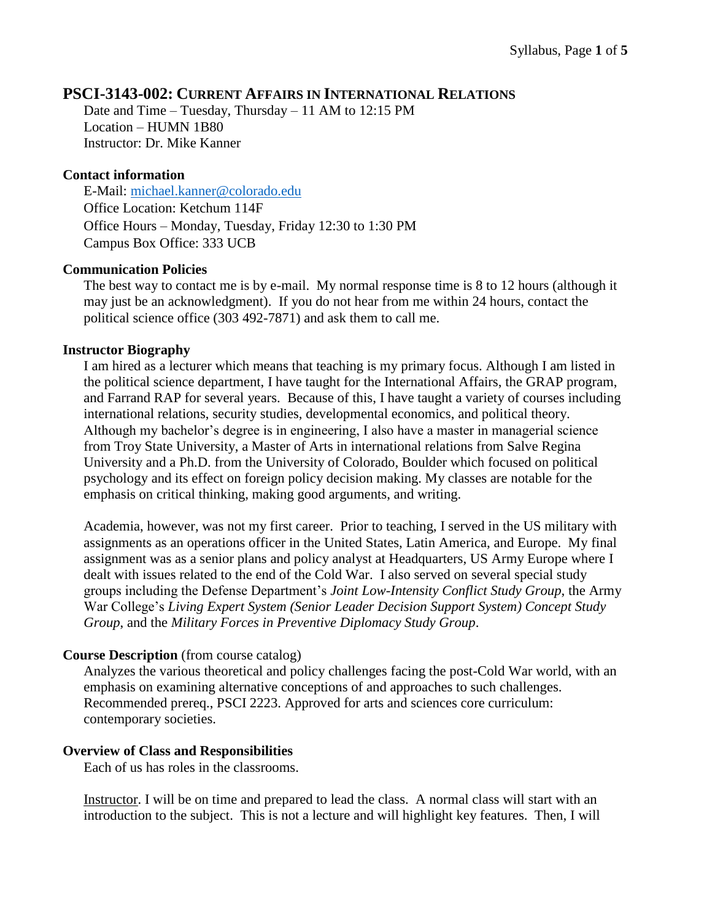# **PSCI-3143-002: CURRENT AFFAIRS IN INTERNATIONAL RELATIONS**

Date and Time – Tuesday, Thursday – 11 AM to 12:15 PM Location – HUMN 1B80 Instructor: Dr. Mike Kanner

## **Contact information**

E-Mail: [michael.kanner@colorado.edu](mailto:michael.kanner@colorado.edu) Office Location: Ketchum 114F Office Hours – Monday, Tuesday, Friday 12:30 to 1:30 PM Campus Box Office: 333 UCB

## **Communication Policies**

The best way to contact me is by e-mail. My normal response time is 8 to 12 hours (although it may just be an acknowledgment). If you do not hear from me within 24 hours, contact the political science office (303 492-7871) and ask them to call me.

### **Instructor Biography**

I am hired as a lecturer which means that teaching is my primary focus. Although I am listed in the political science department, I have taught for the International Affairs, the GRAP program, and Farrand RAP for several years. Because of this, I have taught a variety of courses including international relations, security studies, developmental economics, and political theory. Although my bachelor's degree is in engineering, I also have a master in managerial science from Troy State University, a Master of Arts in international relations from Salve Regina University and a Ph.D. from the University of Colorado, Boulder which focused on political psychology and its effect on foreign policy decision making. My classes are notable for the emphasis on critical thinking, making good arguments, and writing.

Academia, however, was not my first career. Prior to teaching, I served in the US military with assignments as an operations officer in the United States, Latin America, and Europe. My final assignment was as a senior plans and policy analyst at Headquarters, US Army Europe where I dealt with issues related to the end of the Cold War. I also served on several special study groups including the Defense Department's *Joint Low-Intensity Conflict Study Group*, the Army War College's *Living Expert System (Senior Leader Decision Support System) Concept Study Group*, and the *Military Forces in Preventive Diplomacy Study Group*.

### **Course Description** (from course catalog)

Analyzes the various theoretical and policy challenges facing the post-Cold War world, with an emphasis on examining alternative conceptions of and approaches to such challenges. Recommended prereq., PSCI 2223. Approved for arts and sciences core curriculum: contemporary societies.

### **Overview of Class and Responsibilities**

Each of us has roles in the classrooms.

Instructor. I will be on time and prepared to lead the class. A normal class will start with an introduction to the subject. This is not a lecture and will highlight key features. Then, I will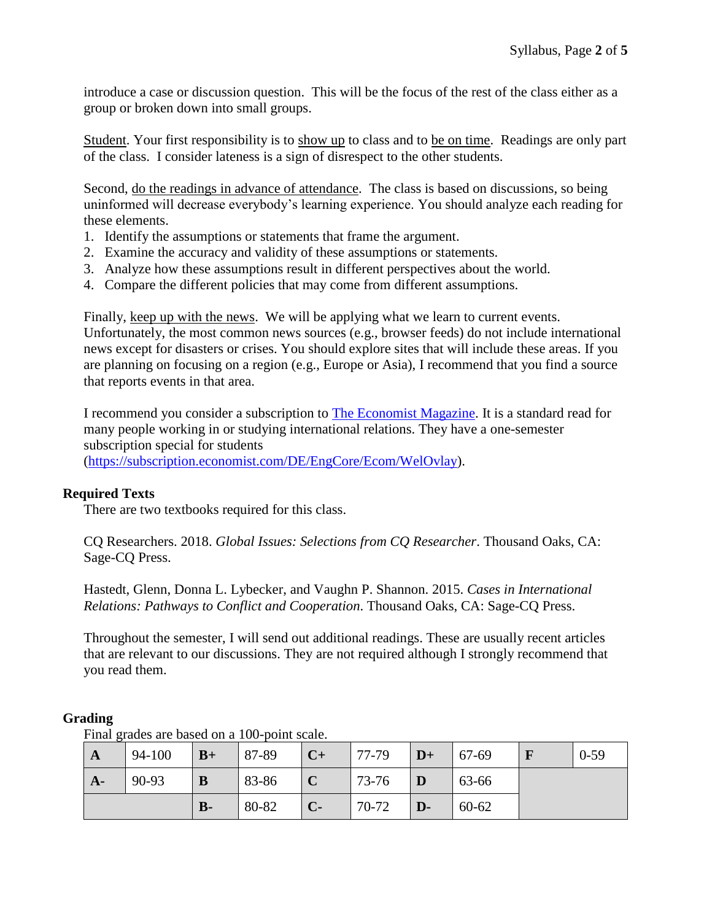introduce a case or discussion question. This will be the focus of the rest of the class either as a group or broken down into small groups.

Student. Your first responsibility is to show up to class and to be on time. Readings are only part of the class. I consider lateness is a sign of disrespect to the other students.

Second, do the readings in advance of attendance. The class is based on discussions, so being uninformed will decrease everybody's learning experience. You should analyze each reading for these elements.

- 1. Identify the assumptions or statements that frame the argument.
- 2. Examine the accuracy and validity of these assumptions or statements.
- 3. Analyze how these assumptions result in different perspectives about the world.
- 4. Compare the different policies that may come from different assumptions.

Finally, keep up with the news. We will be applying what we learn to current events. Unfortunately, the most common news sources (e.g., browser feeds) do not include international news except for disasters or crises. You should explore sites that will include these areas. If you are planning on focusing on a region (e.g., Europe or Asia), I recommend that you find a source that reports events in that area.

I recommend you consider a subscription to [The Economist Magazine.](http://www.economist.com/) It is a standard read for many people working in or studying international relations. They have a one-semester subscription special for students [\(https://subscription.economist.com/DE/EngCore/Ecom/WelOvlay\)](https://subscription.economist.com/DE/EngCore/Ecom/WelOvlay).

**Required Texts**

There are two textbooks required for this class.

CQ Researchers. 2018. *Global Issues: Selections from CQ Researcher*. Thousand Oaks, CA: Sage-CQ Press.

Hastedt, Glenn, Donna L. Lybecker, and Vaughn P. Shannon. 2015. *Cases in International Relations: Pathways to Conflict and Cooperation*. Thousand Oaks, CA: Sage-CQ Press.

Throughout the semester, I will send out additional readings. These are usually recent articles that are relevant to our discussions. They are not required although I strongly recommend that you read them.

### **Grading**

**A** 94-100 **B+** 87-89 **C+** 77-79 **D+** 67-69 **F** 0-59 **A-** 90-93 **B** 83-86 **C** 73-76 **D** 63-66 **B-** 80-82 **C-** 70-72 **D-** 60-62

Final grades are based on a 100-point scale.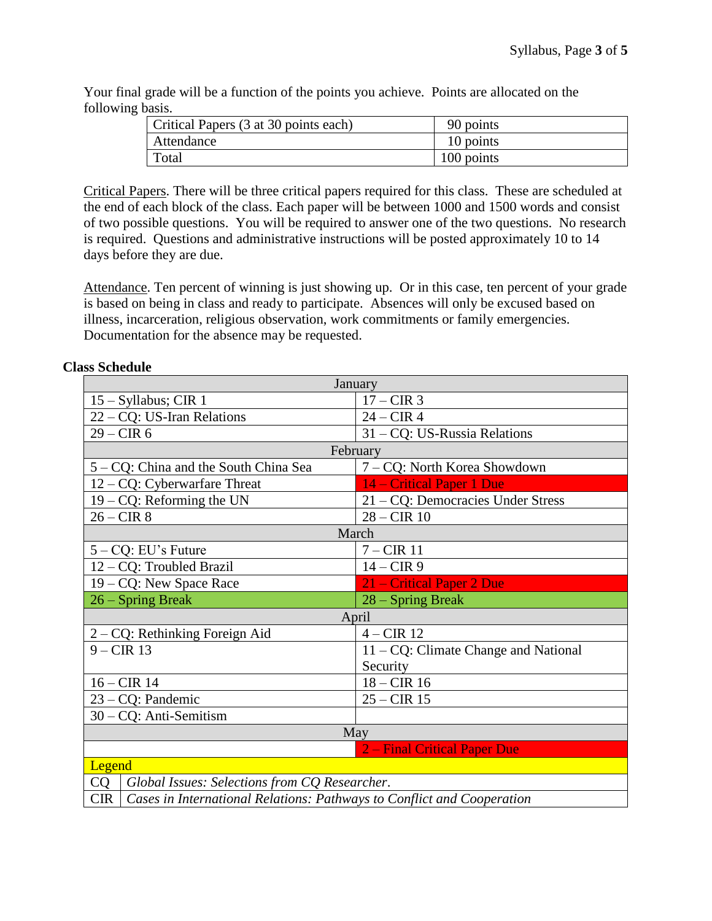Your final grade will be a function of the points you achieve. Points are allocated on the following basis.

| Critical Papers (3 at 30 points each) | 90 points  |
|---------------------------------------|------------|
| Attendance                            | 10 points  |
| Total                                 | 100 points |

Critical Papers. There will be three critical papers required for this class. These are scheduled at the end of each block of the class. Each paper will be between 1000 and 1500 words and consist of two possible questions. You will be required to answer one of the two questions. No research is required. Questions and administrative instructions will be posted approximately 10 to 14 days before they are due.

Attendance. Ten percent of winning is just showing up. Or in this case, ten percent of your grade is based on being in class and ready to participate. Absences will only be excused based on illness, incarceration, religious observation, work commitments or family emergencies. Documentation for the absence may be requested.

### **Class Schedule**

| January                                                                              |                                         |  |
|--------------------------------------------------------------------------------------|-----------------------------------------|--|
| $15 - Syllabus$ ; CIR 1                                                              | $17 - CIR$ 3                            |  |
| 22 – CQ: US-Iran Relations                                                           | $24 - CIR$ 4                            |  |
| $29 - CIR$ 6                                                                         | 31 - CQ: US-Russia Relations            |  |
| February                                                                             |                                         |  |
| 5 – CQ: China and the South China Sea                                                | 7 – CQ: North Korea Showdown            |  |
| $12 - CQ$ : Cyberwarfare Threat                                                      | 14 – Critical Paper 1 Due               |  |
| $19 - CQ$ : Reforming the UN                                                         | 21 – CQ: Democracies Under Stress       |  |
| $26 - CIR$ 8                                                                         | $28 - CIR$ 10                           |  |
| March                                                                                |                                         |  |
| $5 - CQ$ : EU's Future                                                               | $7 - CIR$ 11                            |  |
| 12 – CQ: Troubled Brazil                                                             | $14 - CIR9$                             |  |
| 19 - CQ: New Space Race                                                              | 21 – Critical Paper 2 Due               |  |
| 26 – Spring Break                                                                    | 28 – Spring Break                       |  |
| April                                                                                |                                         |  |
| 2 – CQ: Rethinking Foreign Aid                                                       | $4 - CIR$ 12                            |  |
| $9 - CIR$ 13                                                                         | $11 - CQ$ : Climate Change and National |  |
|                                                                                      | Security                                |  |
| $16 - CIR$ 14                                                                        | $18 - CIR$ 16                           |  |
| 23 – CQ: Pandemic                                                                    | $25 - CIR$ 15                           |  |
| 30 - CQ: Anti-Semitism                                                               |                                         |  |
| May                                                                                  |                                         |  |
| 2 – Final Critical Paper Due                                                         |                                         |  |
| Legend                                                                               |                                         |  |
| <b>CQ</b><br>Global Issues: Selections from CQ Researcher.                           |                                         |  |
| <b>CIR</b><br>Cases in International Relations: Pathways to Conflict and Cooperation |                                         |  |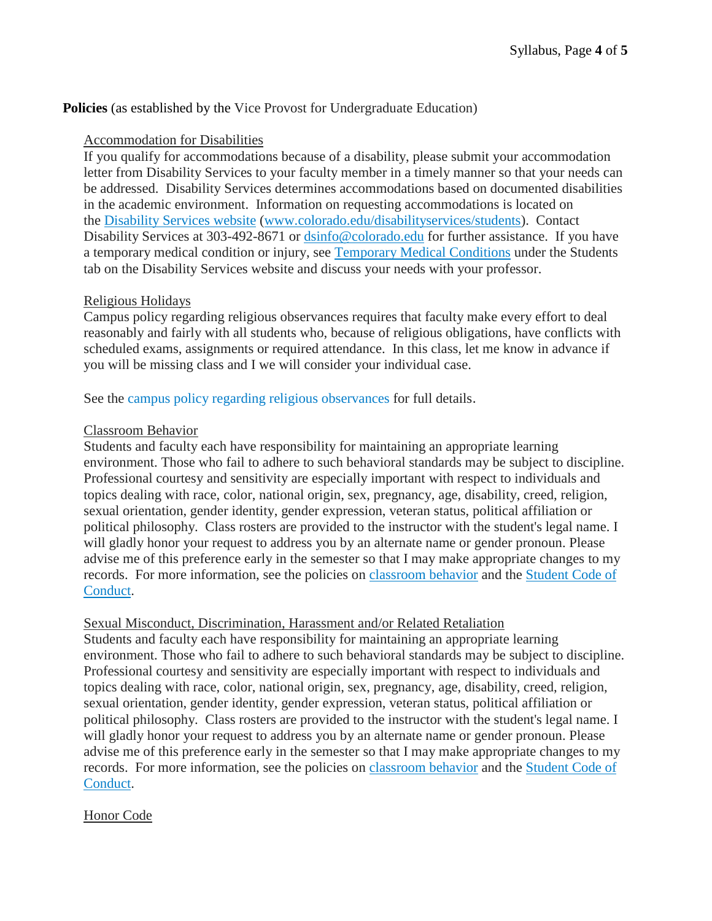# **Policies** (as established by the Vice Provost for Undergraduate Education)

#### Accommodation for Disabilities

If you qualify for accommodations because of a disability, please submit your accommodation letter from Disability Services to your faculty member in a timely manner so that your needs can be addressed. Disability Services determines accommodations based on documented disabilities in the academic environment. Information on requesting accommodations is located on the [Disability](http://www.colorado.edu/disabilityservices/students) Services website [\(www.colorado.edu/disabilityservices/students\)](http://www.colorado.edu/disabilityservices/students). Contact Disability Services at 303-492-8671 or [dsinfo@colorado.edu](mailto:dsinfo@colorado.edu) for further assistance. If you have a temporary medical condition or injury, see [Temporary](http://www.colorado.edu/disabilityservices/students/temporary-medical-conditions) Medical Conditions under the Students tab on the Disability Services website and discuss your needs with your professor.

### Religious Holidays

Campus policy regarding religious observances requires that faculty make every effort to deal reasonably and fairly with all students who, because of religious obligations, have conflicts with scheduled exams, assignments or required attendance. In this class, let me know in advance if you will be missing class and I we will consider your individual case.

See the campus policy regarding religious [observances](http://www.colorado.edu/policies/observance-religious-holidays-and-absences-classes-andor-exams) for full details.

#### Classroom Behavior

Students and faculty each have responsibility for maintaining an appropriate learning environment. Those who fail to adhere to such behavioral standards may be subject to discipline. Professional courtesy and sensitivity are especially important with respect to individuals and topics dealing with race, color, national origin, sex, pregnancy, age, disability, creed, religion, sexual orientation, gender identity, gender expression, veteran status, political affiliation or political philosophy. Class rosters are provided to the instructor with the student's legal name. I will gladly honor your request to address you by an alternate name or gender pronoun. Please advise me of this preference early in the semester so that I may make appropriate changes to my records. For more information, see the policies on [classroom](http://www.colorado.edu/policies/student-classroom-and-course-related-behavior) behavior and the [Student](http://www.colorado.edu/osccr/) Code of [Conduct.](http://www.colorado.edu/osccr/)

#### Sexual Misconduct, Discrimination, Harassment and/or Related Retaliation

Students and faculty each have responsibility for maintaining an appropriate learning environment. Those who fail to adhere to such behavioral standards may be subject to discipline. Professional courtesy and sensitivity are especially important with respect to individuals and topics dealing with race, color, national origin, sex, pregnancy, age, disability, creed, religion, sexual orientation, gender identity, gender expression, veteran status, political affiliation or political philosophy. Class rosters are provided to the instructor with the student's legal name. I will gladly honor your request to address you by an alternate name or gender pronoun. Please advise me of this preference early in the semester so that I may make appropriate changes to my records. For more information, see the policies on [classroom](http://www.colorado.edu/policies/student-classroom-and-course-related-behavior) behavior and the [Student](http://www.colorado.edu/osccr/) Code of [Conduct.](http://www.colorado.edu/osccr/)

### Honor Code